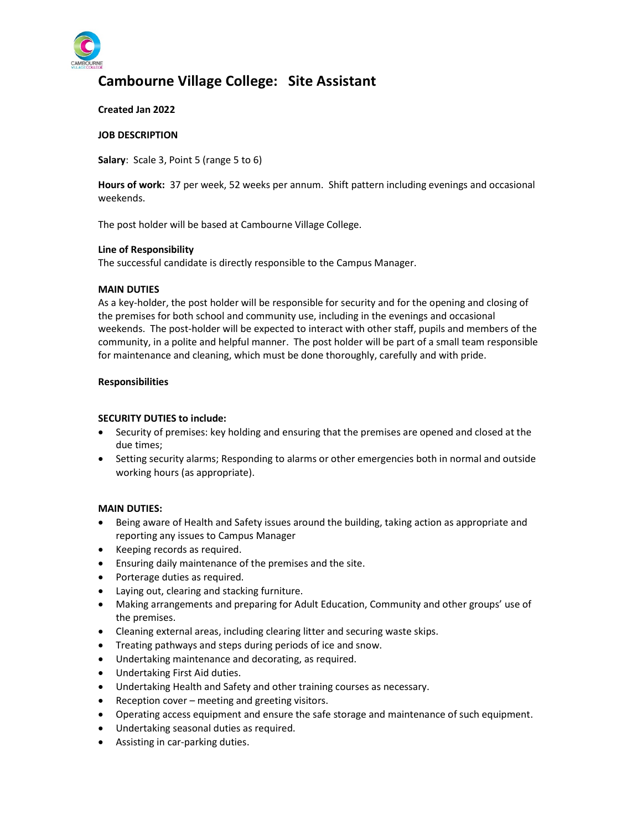

# Cambourne Village College: Site Assistant

## Created Jan 2022

#### JOB DESCRIPTION

Salary: Scale 3, Point 5 (range 5 to 6)

Hours of work: 37 per week, 52 weeks per annum. Shift pattern including evenings and occasional weekends.

The post holder will be based at Cambourne Village College.

## Line of Responsibility

The successful candidate is directly responsible to the Campus Manager.

## MAIN DUTIES

As a key-holder, the post holder will be responsible for security and for the opening and closing of the premises for both school and community use, including in the evenings and occasional weekends. The post-holder will be expected to interact with other staff, pupils and members of the community, in a polite and helpful manner. The post holder will be part of a small team responsible for maintenance and cleaning, which must be done thoroughly, carefully and with pride.

## Responsibilities

## SECURITY DUTIES to include:

- Security of premises: key holding and ensuring that the premises are opened and closed at the due times;
- Setting security alarms; Responding to alarms or other emergencies both in normal and outside working hours (as appropriate).

# MAIN DUTIES:

- Being aware of Health and Safety issues around the building, taking action as appropriate and reporting any issues to Campus Manager
- Keeping records as required.
- Ensuring daily maintenance of the premises and the site.
- Porterage duties as required.
- Laying out, clearing and stacking furniture.
- Making arrangements and preparing for Adult Education, Community and other groups' use of the premises.
- Cleaning external areas, including clearing litter and securing waste skips.
- Treating pathways and steps during periods of ice and snow.
- Undertaking maintenance and decorating, as required.
- Undertaking First Aid duties.
- Undertaking Health and Safety and other training courses as necessary.
- Reception cover meeting and greeting visitors.
- Operating access equipment and ensure the safe storage and maintenance of such equipment.
- Undertaking seasonal duties as required.
- Assisting in car-parking duties.